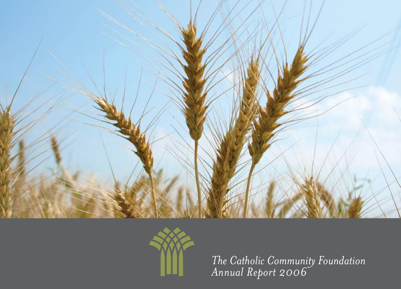



*The Catholic Community Foundation Annual Report 2006*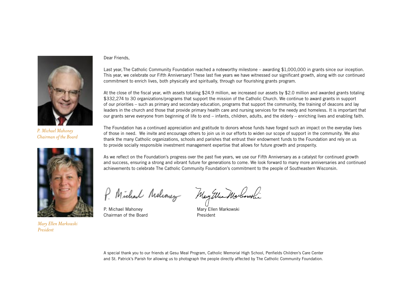

*P. Michael Mahoney Chairman of the Board*



*Mary Ellen Markowski President*

## Dear Friends,

Last year, The Catholic Community Foundation reached a noteworthy milestone – awarding \$1,000,000 in grants since our inception. This year, we celebrate our Fifth Anniversary! These last five years we have witnessed our significant growth, along with our continued commitment to enrich lives, both physically and spiritually, through our flourishing grants program.

At the close of the fiscal year, with assets totaling \$24.9 million, we increased our assets by \$2.0 million and awarded grants totaling \$332,274 to 30 organizations/programs that support the mission of the Catholic Church. We continue to award grants in support of our priorities – such as primary and secondary education, programs that support the community, the training of deacons and lay leaders in the church and those that provide primary health care and nursing services for the needy and homeless. It is important that our grants serve everyone from beginning of life to end – infants, children, adults, and the elderly – enriching lives and enabling faith.

The Foundation has a continued appreciation and gratitude to donors whose funds have forged such an impact on the everyday lives of those in need. We invite and encourage others to join us in our efforts to widen our scope of support in the community. We also thank the many Catholic organizations, schools and parishes that entrust their endowment funds to the Foundation and rely on us to provide socially responsible investment management expertise that allows for future growth and prosperity.

As we reflect on the Foundation's progress over the past five years, we use our Fifth Anniversary as a catalyst for continued growth and success, ensuring a strong and vibrant future for generations to come. We look forward to many more anniversaries and continued achievements to celebrate The Catholic Community Foundation's commitment to the people of Southeastern Wisconsin.

P. Michael Molconey

P. Michael Mahoney Mary Ellen Markowski Chairman of the Board **President** 

May Ellen Marlowshi

A special thank you to our friends at Gesu Meal Program, Catholic Memorial High School, Penfields Children's Care Center and St. Patrick's Parish for allowing us to photograph the people directly affected by The Catholic Community Foundation.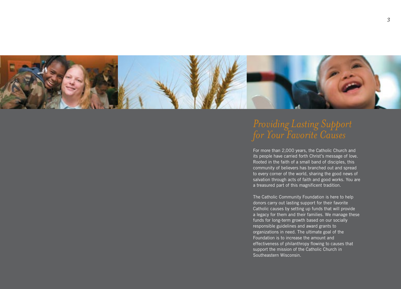

# *Providing Lasting Support*

For more than 2,000 years, the Catholic Church and its people have carried forth Christ's message of love. Rooted in the faith of a small band of disciples, this community of believers has branched out and spread to every corner of the world, sharing the good news of salvation through acts of faith and good works. You are a treasured part of this magnificent tradition.

The Catholic Community Foundation is here to help donors carry out lasting support for their favorite Catholic causes by setting up funds that will provide a legacy for them and their families. We manage these funds for long-term growth based on our socially responsible guidelines and award grants to organizations in need. The ultimate goal of the Foundation is to increase the amount and effectiveness of philanthropy flowing to causes that support the mission of the Catholic Church in Southeastern Wisconsin.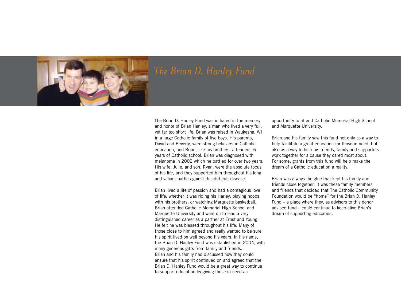

The Brian D. Hanley Fund was initiated in the memory and honor of Brian Hanley, a man who lived a very full, yet far too short life. Brian was raised in Waukesha, WI in a large Catholic family of five boys. His parents, David and Beverly, were strong believers in Catholic education, and Brian, like his brothers, attended 16 years of Catholic school. Brian was diagnosed with melanoma in 2002 which he battled for over two years. His wife, Julie, and son, Ryan, were the absolute focus of his life, and they supported him throughout his long and valiant battle against this difficult disease.

Brian lived a life of passion and had a contagious love of life, whether it was riding his Harley, playing hoops with his brothers, or watching Marquette basketball. Brian attended Catholic Memorial High School and Marquette University and went on to lead a very distinguished career as a partner at Ernst and Young. He felt he was blessed throughout his life. Many of those close to him agreed and really wanted to be sure his spirit lived on well beyond his years. In his name, the Brian D. Hanley Fund was established in 2004, with many generous gifts from family and friends. Brian and his family had discussed how they could ensure that his spirit continued on and agreed that the Brian D. Hanley Fund would be a great way to continue to support education by giving those in need an

opportunity to attend Catholic Memorial High School and Marquette University.

Brian and his family saw this fund not only as a way to help facilitate a great education for those in need, but also as a way to help his friends, family and supporters work together for a cause they cared most about. For some, grants from this fund will help make the dream of a Catholic education a reality.

Brian was always the glue that kept his family and friends close together. It was these family members and friends that decided that The Catholic Community Foundation would be "home" for the Brian D. Hanley Fund – a place where they, as advisors to this donor advised fund – could continue to keep alive Brian's dream of supporting education.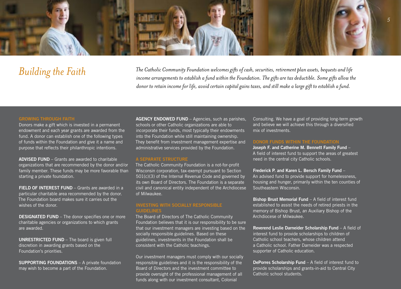

## *Building the Faith*

*The Catholic Community Foundation welcomes gifts of cash, securities, retirement plan assets, bequests and life income arrangements to establish a fund within the Foundation. The gifts are tax deductible. Some gifts allow the donor to retain income for life, avoid certain capital gains taxes, and still make a large gift to establish a fund.*

## **GROWING THROUGH FAITH**

Donors make a gift which is invested in a permanent endowment and each year grants are awarded from the fund. A donor can establish one of the following types of funds within the Foundation and give it a name and purpose that reflects their philanthropic intentions.

**Advised fund** – Grants are awarded to charitable organizations that are recommended by the donor and/or family member. These funds may be more favorable than starting a private foundation.

**FIELD OF INTEREST FUND** – Grants are awarded in a particular charitable area recommended by the donor. The Foundation board makes sure it carries out the wishes of the donor.

**DESIGNATED FUND** – The donor specifies one or more charitable agencies or organizations to which grants are awarded.

**UNRESTRICTED FUND** – The board is given full discretion in awarding grants based on the Foundation's priorities.

**SUPPORTING FOUNDATIONS** – A private foundation may wish to become a part of the Foundation.

**AGENCY ENDOWED FUND** – Agencies, such as parishes, schools or other Catholic organizations are able to incorporate their funds, most typically their endowments into the Foundation while still maintaining ownership. They benefit from investment management expertise and administrative services provided by the Foundation.

The Catholic Community Foundation is a not-for-profit Wisconsin corporation, tax-exempt pursuant to Section 501(c)(3) of the Internal Revenue Code and governed by its own Board of Directors. The Foundation is a separate civil and canonical entity independent of the Archdiocese of Milwaukee.

The Board of Directors of The Catholic Community Foundation believes that it is our responsibility to be sure that our investment managers are investing based on the socially responsible guidelines. Based on these guidelines, investments in the Foundation shall be consistent with the Catholic teachings.

Our investment managers must comply with our socially responsible guidelines and it is the responsibility of the Board of Directors and the investment committee to provide oversight of the professional management of all funds along with our investment consultant, Colonial

Consulting. We have a goal of providing long-term growth and believe we will achieve this through a diversified mix of investments.

## **DONOR FUNDS WITHIN THE FOUNDATION**

**Joseph F. and Catherine M. Bennett Family Fund** – A field of interest fund to support the areas of greatest need in the central city Catholic schools.

**Frederick P. and Karen L. Bersch Family Fund** – An advised fund to provide support for homelessness, housing and hunger, primarily within the ten counties of Southeastern Wisconsin.

**Bishop Brust Memorial Fund** – A field of interest fund established to assist the needs of retired priests in the memory of Bishop Brust, an Auxiliary Bishop of the Archdiocese of Milwaukee.

**Reverend Leslie Darneider Scholarship Fund** – A field of interest fund to provide scholarships to children of Catholic school teachers, whose children attend a Catholic school. Father Darneider was a respected supporter of Catholic education.

**DePorres Scholarship Fund** – A field of interest fund to provide scholarships and grants-in-aid to Central City Catholic school students.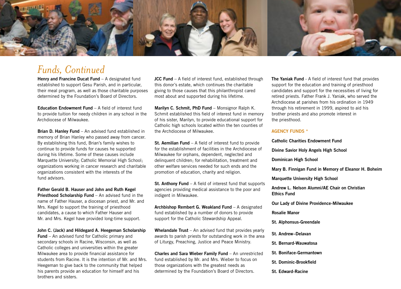

## *Funds, Continued*

**Henry and Francine Ducat Fund** – A designated fund established to support Gesu Parish, and in particular, their meal program, as well as those charitable purposes determined by the Foundation's Board of Directors.

**Education Endowment Fund** – A field of interest fund to provide tuition for needy children in any school in the Archdiocese of Milwaukee.

**Brian D. Hanley Fund** – An advised fund established in memory of Brian Hanley who passed away from cancer. By establishing this fund, Brian's family wishes to continue to provide funds for causes he supported during his lifetime. Some of these causes include Marquette University; Catholic Memorial High School; organizations working in cancer research and charitable organizations consistent with the interests of the fund advisors.

**Father Gerald B. Hauser and John and Ruth Kegel Priesthood Scholarship Fund** – An advised fund in the name of Father Hauser, a diocesan priest, and Mr. and Mrs. Kegel to support the training of priesthood candidates, a cause to which Father Hauser and Mr. and Mrs. Kegel have provided long-time support.

**John C. (Jack) and Hildegard A. Heegeman Scholarship Fund** – An advised fund for Catholic primary and secondary schools in Racine, Wisconsin, as well as Catholic colleges and universities within the greater Milwaukee area to provide financial assistance for students from Racine. It is the intention of Mr. and Mrs. Heegeman to give back to the community that helped his parents provide an education for himself and his brothers and sisters.

**JCC Fund** – A field of interest fund, established through this donor's estate, which continues the charitable giving to those causes that this philanthropist cared most about and supported during his lifetime.

**Marilyn C. Schmit, PhD Fund** – Monsignor Ralph K. Schmit established this field of interest fund in memory of his sister, Marilyn, to provide educational support for Catholic high schools located within the ten counties of the Archdiocese of Milwaukee.

**St. Aemilian Fund** – A field of interest fund to provide for the establishment of facilities in the Archdiocese of Milwaukee for orphans, dependent, neglected and delinquent children; for rehabilitation, treatment and other welfare services needed for such ends and the promotion of education, charity and religion.

**St. Anthony Fund** – A field of interest fund that supports agencies providing medical assistance to the poor and indigent in Milwaukee.

Archbishop Rembert G. Weakland Fund - A designated fund established by a number of donors to provide support for the Catholic Stewardship Appeal.

**Whelandale Trust** – An advised fund that provides yearly awards to parish priests for outstanding work in the area of Liturgy, Preaching, Justice and Peace Ministry.

**Charles and Sara Wieber Family Fund** – An unrestricted fund established by Mr. and Mrs. Wieber to focus on those organizations with the greatest needs as determined by the Foundation's Board of Directors.

**The Yaniak Fund** - A field of interest fund that provides support for the education and training of priesthood candidates and support for the necessities of living for retired priests. Father Frank J. Yaniak, who served the Archdiocese at parishes from his ordination in 1949 through his retirement in 1999, aspired to aid his brother priests and also promote interest in the priesthood.

## **AGENCY FUNDS \***

| <b>Catholic Charities Endowment Fund</b>                            |
|---------------------------------------------------------------------|
| Divine Savior Holy Angels High School                               |
| Dominican High School                                               |
| Mary B. Finnigan Fund in Memory of Eleanor H. Boheim                |
| <b>Marquette University High School</b>                             |
| Andrew L. Nelson Alumni/AE Chair on Christian<br><b>Ethics Fund</b> |
| Our Lady of Divine Providence-Milwaukee                             |
| <b>Rosalie Manor</b>                                                |
| <b>St. Alphonsus-Greendale</b>                                      |
| St. Andrew-Delavan                                                  |
| St. Bernard-Wauwatosa                                               |
| <b>St. Boniface-Germantown</b>                                      |
| <b>St. Dominic-Brookfield</b>                                       |
| <b>St. Edward-Racine</b>                                            |
|                                                                     |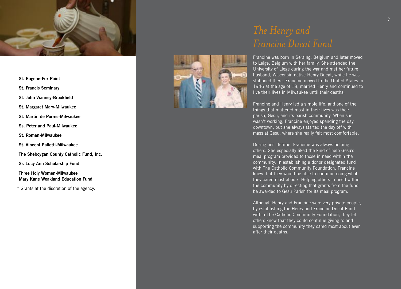

- **St. Eugene-Fox Point**
- **St. Francis Seminary**
- **St. John Vianney-Brookfield**
- **St. Margaret Mary-Milwaukee**
- **St. Martin de Porres-Milwaukee**
- **Ss. Peter and Paul-Milwaukee**
- **St. Roman-Milwaukee**
- **St. Vincent Pallotti-Milwaukee**
- **The Sheboygan County Catholic Fund, Inc.**
- **Sr. Lucy Ann Scholarship Fund**

**Three Holy Women-Milwaukee Mary Kane Weakland Education Fund**

\* Grants at the discretion of the agency.



# *Francine Ducat Fund*

Francine was born in Seraing, Belgium and later moved to Leige, Belgium with her family. She attended the University of Liege during the war and met her future husband, Wisconsin native Henry Ducat, while he was stationed there. Francine moved to the United States in 1946 at the age of 18, married Henry and continued to live their lives in Milwaukee until their deaths.

Francine and Henry led a simple life, and one of the things that mattered most in their lives was their parish, Gesu, and its parish community. When she wasn't working, Francine enjoyed spending the day downtown, but she always started the day off with mass at Gesu, where she really felt most comfortable.

During her lifetime, Francine was always helping others. She especially liked the kind of help Gesu's meal program provided to those in need within the community. In establishing a donor designated fund with The Catholic Community Foundation, Francine knew that they would be able to continue doing what they cared most about: Helping others in need within the community by directing that grants from the fund be awarded to Gesu Parish for its meal program.

Although Henry and Francine were very private people, by establishing the Henry and Francine Ducat Fund within The Catholic Community Foundation, they let others know that they could continue giving to and supporting the community they cared most about even after their deaths.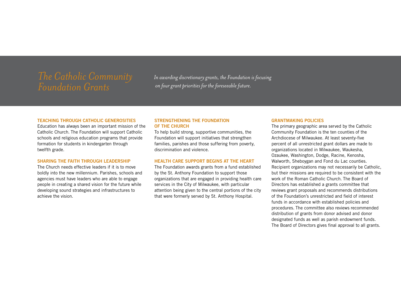*In awarding discretionary grants, the Foundation is focusing on four grant priorities for the foreseeable future.*

## **Teaching Through Catholic Generosities**

Education has always been an important mission of the Catholic Church. The Foundation will support Catholic schools and religious education programs that provide formation for students in kindergarten through twelfth grade.

## **Sharing the Faith Through Leadership**

The Church needs effective leaders if it is to move boldly into the new millennium. Parishes, schools and agencies must have leaders who are able to engage people in creating a shared vision for the future while developing sound strategies and infrastructures to achieve the vision.

## **Strengthening the Foundation of the Church**

To help build strong, supportive communities, the Foundation will support initiatives that strengthen families, parishes and those suffering from poverty, discrimination and violence.

## **Health care Support Begins at the Heart**

The Foundation awards grants from a fund established by the St. Anthony Foundation to support those organizations that are engaged in providing health care services in the City of Milwaukee, with particular attention being given to the central portions of the city that were formerly served by St. Anthony Hospital.

### **GRANTMAKING POLICIES**

The primary geographic area served by the Catholic Community Foundation is the ten counties of the Archdiocese of Milwaukee. At least seventy-five percent of all unrestricted grant dollars are made to organizations located in Milwaukee, Waukesha, Ozaukee, Washington, Dodge, Racine, Kenosha, Walworth, Sheboygan and Fond du Lac counties. Recipient organizations may not necessarily be Catholic, but their missions are required to be consistent with the work of the Roman Catholic Church. The Board of Directors has established a grants committee that reviews grant proposals and recommends distributions of the Foundation's unrestricted and field of interest funds in accordance with established policies and procedures. The committee also reviews recommended distribution of grants from donor advised and donor designated funds as well as parish endowment funds. The Board of Directors gives final approval to all grants.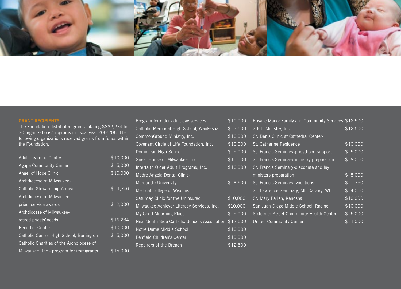

The Foundation distributed grants totaling \$332,274 to 30 organizations/programs in fiscal year 2005/06. The following organizations received grants from funds within the Foundation.

| <b>Adult Learning Center</b>             | \$10,000              |
|------------------------------------------|-----------------------|
| <b>Agape Community Center</b>            | \$5,000               |
| Angel of Hope Clinic                     | \$10,000              |
| Archdiocese of Milwaukee-                |                       |
| Catholic Stewardship Appeal              | \$<br>1,740           |
| Archdiocese of Milwaukee-                |                       |
| priest service awards                    | \$2,000               |
| Archdiocese of Milwaukee-                |                       |
| retired priests' needs                   | \$16,284              |
| <b>Benedict Center</b>                   | \$10,000              |
| Catholic Central High School, Burlington | $\overline{\$}$ 5,000 |
| Catholic Charities of the Archdiocese of |                       |
| Milwaukee, Inc.- program for immigrants  | \$15,000              |
|                                          |                       |

|                    | Program for older adult day services         | \$10,000 |
|--------------------|----------------------------------------------|----------|
| 274 to             | Catholic Memorial High School, Waukesha      | \$3,500  |
| 5. The<br>s within | CommonGround Ministry, Inc.                  | \$10,000 |
|                    | Covenant Circle of Life Foundation, Inc.     | \$10,000 |
|                    | Dominican High School                        | \$5,000  |
| 10,000             | Guest House of Milwaukee, Inc.               | \$15,000 |
| 5,000              | Interfaith Older Adult Programs, Inc.        | \$10,000 |
| 10,000             | Madre Angela Dental Clinic-                  |          |
|                    | Marquette University                         | \$3,500  |
| 1,740              | Medical College of Wisconsin-                |          |
|                    | Saturday Clinic for the Uninsured            | \$10,000 |
| 2,000              | Milwaukee Achiever Literacy Services, Inc.   | \$10,000 |
|                    | My Good Mourning Place                       | \$5,000  |
| 16,284             | Near South Side Catholic Schools Association | \$12,500 |
| 10,000             | Notre Dame Middle School                     | \$10,000 |
| 5,000              | Penfield Children's Center                   | \$10,000 |
|                    | Repairers of the Breach                      | \$12,500 |
| 15,000             |                                              |          |

| 0,000              | Rosalie Manor Family and Community Services \$12,500 |                |                  |  |
|--------------------|------------------------------------------------------|----------------|------------------|--|
| 3,500              | S.E.T. Ministry, Inc.                                |                | \$12,500         |  |
| 0.000              | St. Ben's Clinic at Cathedral Center-                |                |                  |  |
| 0.000              | St. Catherine Residence                              |                | \$10,000         |  |
| 5,000              | St. Francis Seminary-priesthood support              |                | \$5,000          |  |
| 5,000              | St. Francis Seminary-ministry preparation            |                | $\sqrt{$}$ 9,000 |  |
| 0.000              | St. Francis Seminary-diaconate and lay               |                |                  |  |
|                    | ministers preparation                                | $\mathfrak{D}$ | 8,000            |  |
| $3,5\overline{00}$ | St. Francis Seminary, vocations                      | \$             | 750              |  |
|                    | St. Lawrence Seminary, Mt. Calvary, WI               |                | \$4,000          |  |
| 0,000              | St. Mary Parish, Kenosha                             |                | \$10,000         |  |
| 0.000              | San Juan Diego Middle School, Racine                 |                | \$10,000         |  |
| 5,000              | Sixteenth Street Community Health Center             |                | \$5,000          |  |
| 2,500              | <b>United Community Center</b>                       |                | \$11,000         |  |
| 0.000              |                                                      |                |                  |  |
| 0,000              |                                                      |                |                  |  |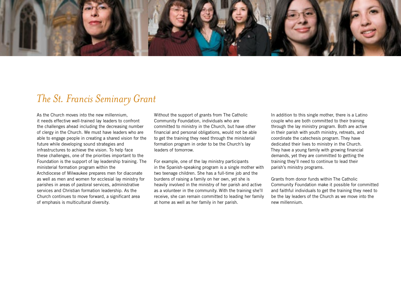

## *The St. Francis Seminary Grant*

As the Church moves into the new millennium, it needs effective well-trained lay leaders to confront the challenges ahead including the decreasing number of clergy in the Church. We must have leaders who are able to engage people in creating a shared vision for the future while developing sound strategies and infrastructures to achieve the vision. To help face these challenges, one of the priorities important to the Foundation is the support of lay leadership training. The ministerial formation program within the Archdiocese of Milwaukee prepares men for diaconate as well as men and women for ecclesial lay ministry for parishes in areas of pastoral services, administrative services and Christian formation leadership. As the Church continues to move forward, a significant area of emphasis is multicultural diversity.

Without the support of grants from The Catholic Community Foundation, individuals who are committed to ministry in the Church, but have other financial and personal obligations, would not be able to get the training they need through the ministerial formation program in order to be the Church's lay leaders of tomorrow.

For example, one of the lay ministry participants in the Spanish-speaking program is a single mother with two teenage children. She has a full-time job and the burdens of raising a family on her own, yet she is heavily involved in the ministry of her parish and active as a volunteer in the community. With the training she'll receive, she can remain committed to leading her family at home as well as her family in her parish.

In addition to this single mother, there is a Latino couple who are both committed to their training through the lay ministry program. Both are active in their parish with youth ministry, retreats, and coordinate the catechesis program. They have dedicated their lives to ministry in the Church. They have a young family with growing financial demands, yet they are committed to getting the training they'll need to continue to lead their parish's ministry programs.

Grants from donor funds within The Catholic Community Foundation make it possible for committed and faithful individuals to get the training they need to be the lay leaders of the Church as we move into the new millennium.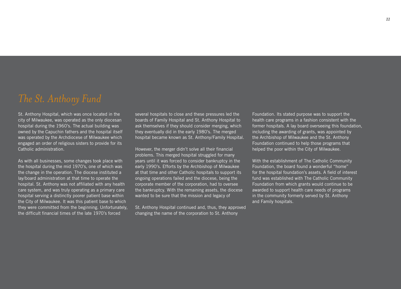St. Anthony Hospital, which was once located in the city of Milwaukee, was operated as the only diocesan hospital during the 1960's. The actual building was owned by the Capuchin fathers and the hospital itself was operated by the Archdiocese of Milwaukee which engaged an order of religious sisters to provide for its Catholic administration.

As with all businesses, some changes took place with the hospital during the mid 1970's, one of which was the change in the operation. The diocese instituted a lay/board administration at that time to operate the hospital. St. Anthony was not affiliated with any health care system, and was truly operating as a primary care hospital serving a distinctly poorer patient base within the City of Milwaukee. It was this patient base to which they were committed from the beginning. Unfortunately, the difficult financial times of the late 1970's forced

several hospitals to close and these pressures led the boards of Family Hospital and St. Anthony Hospital to ask themselves if they should consider merging, which they eventually did in the early 1980's. The merged hospital became known as St. Anthony/Family Hospital.

However, the merger didn't solve all their financial problems. This merged hospital struggled for many years until it was forced to consider bankruptcy in the early 1990's. Efforts by the Archbishop of Milwaukee at that time and other Catholic hospitals to support its ongoing operations failed and the diocese, being the corporate member of the corporation, had to oversee the bankruptcy. With the remaining assets, the diocese wanted to be sure that the mission and legacy of

St. Anthony Hospital continued and, thus, they approved changing the name of the corporation to St. Anthony

Foundation. Its stated purpose was to support the health care programs in a fashion consistent with the former hospitals. A lay board overseeing this foundation, including the awarding of grants, was appointed by the Archbishop of Milwaukee and the St. Anthony Foundation continued to help those programs that helped the poor within the City of Milwaukee.

With the establishment of The Catholic Community Foundation, the board found a wonderful "home" for the hospital foundation's assets. A field of interest fund was established with The Catholic Community Foundation from which grants would continue to be awarded to support health care needs of programs in the community formerly served by St. Anthony and Family hospitals.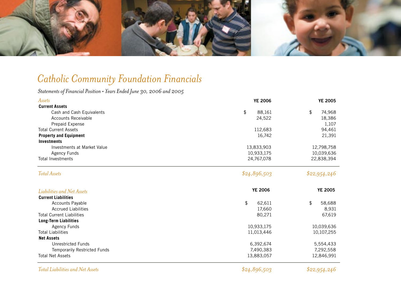

## *Catholic Community Foundation Financials*

## *Statements of Financial Position • Years Ended June 30, 2006 and 2005*

| Assets                           | <b>YE 2006</b> | <b>YE 2005</b> |
|----------------------------------|----------------|----------------|
| <b>Current Assets</b>            |                |                |
| Cash and Cash Equivalents        | \$<br>88,161   | \$<br>74,968   |
| <b>Accounts Receivable</b>       | 24,522         | 18,386         |
| Prepaid Expense                  |                | 1,107          |
| <b>Total Current Assets</b>      | 112,683        | 94,461         |
| <b>Property and Equipment</b>    | 16,742         | 21,391         |
| <b>Investments</b>               |                |                |
| Investments at Market Value      | 13,833,903     | 12,798,758     |
| <b>Agency Funds</b>              | 10,933,175     | 10,039,636     |
| <b>Total Investments</b>         | 24,767,078     | 22,838,394     |
| <b>Total Assets</b>              | \$24,896,503   | \$22,954,246   |
| Liabilities and Net Assets       | <b>YE 2006</b> | <b>YE 2005</b> |
| <b>Current Liabilities</b>       |                |                |
| <b>Accounts Payable</b>          | \$<br>62,611   | \$<br>58,688   |
| <b>Accrued Liabilities</b>       | 17,660         | 8,931          |
| <b>Total Current Liabilities</b> | 80,271         | 67,619         |
| <b>Long-Term Liabilities</b>     |                |                |
| <b>Agency Funds</b>              | 10,933,175     | 10,039,636     |
| <b>Total Liabilities</b>         | 11,013,446     | 10,107,255     |
| <b>Net Assets</b>                |                |                |
|                                  |                |                |
| <b>Unrestricted Funds</b>        | 6,392,674      | 5,554,433      |
| Temporarily Restricted Funds     | 7,490,383      | 7,292,558      |
| <b>Total Net Assets</b>          | 13,883,057     | 12,846,991     |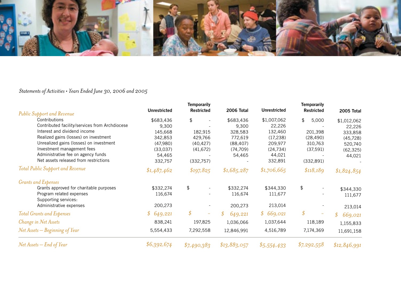

## *Statements of Activities • Years Ended June 30, 2006 and 2005*

| <b>Public Support and Revenue</b>              | <b>Unrestricted</b> | <b>Temporarily</b><br><b>Restricted</b> | <b>2006 Total</b> | <b>Unrestricted</b> | <b>Temporarily</b><br><b>Restricted</b> | 2005 Total               |
|------------------------------------------------|---------------------|-----------------------------------------|-------------------|---------------------|-----------------------------------------|--------------------------|
| Contributions                                  | \$683,436           | \$                                      | \$683,436         | \$1,007,062         | \$<br>5,000                             | \$1,012,062              |
| Contributed facility/services from Archdiocese | 9,300               |                                         | 9,300             | 22,226              |                                         | 22,226                   |
| Interest and dividend income                   | 145,668             | 182,915                                 | 328,583           | 132,460             | 201,398                                 | 333,858                  |
| Realized gains (losses) on investment          | 342,853             | 429,766                                 | 772,619           | (17, 238)           | (28, 490)                               | (45, 728)                |
| Unrealized gains (losses) on investment        | (47,980)            | (40, 427)                               | (88, 407)         | 209,977             | 310,763                                 | 520,740                  |
| Investment management fees                     | (33,037)            | (41, 672)                               | (74, 709)         | (24, 734)           | (37, 591)                               | (62, 325)                |
| Administrative fee on agency funds             | 54,465              |                                         | 54,465            | 44,021              |                                         | 44,021                   |
| Net assets released from restrictions          | 332,757             | (332,757)                               |                   | 332,891             | (332, 891)                              |                          |
| <b>Total Public Support and Revenue</b>        | \$1,487,462         | \$197,825                               | \$1,685,287       | \$1,706,665         | \$118,189                               | \$1,824,854              |
| <b>Grants and Expenses</b>                     |                     |                                         |                   |                     |                                         |                          |
| Grants approved for charitable purposes        | \$332,274           | \$                                      | \$332,274         | \$344,330           | \$                                      | \$344,330                |
| Program related expenses                       | 116,674             |                                         | 116,674           | 111,677             |                                         | 111,677                  |
| Supporting services:                           |                     |                                         |                   |                     |                                         |                          |
| Administrative expenses                        | 200,273             |                                         | 200,273           | 213,014             |                                         | 213,014                  |
| <b>Total Grants and Expenses</b>               | \$649,221           | \$                                      | \$<br>649,221     | \$669,021           | $\oint$                                 | $\mathcal{S}$<br>669,021 |
| Change in Net Assets                           | 838,241             | 197,825                                 | 1,036,066         | 1,037,644           | 118,189                                 | 1,155,833                |
| $Net\,Assets - Beginning\ of\,Year$            | 5,554,433           | 7,292,558                               | 12,846,991        | 4,516,789           | 7,174,369                               | 11,691,158               |
| $Net\,Assets - End\ of\, Year$                 | \$6,392,674         | \$7,490,383                             | \$13,883,057      | \$5,554,433         | \$7,292,558                             | \$12,846,991             |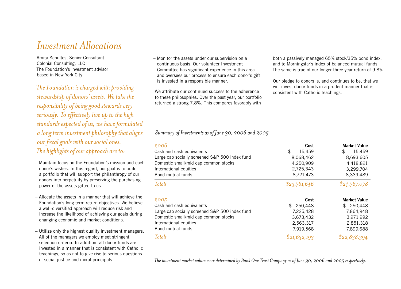## *Investment Allocations*

Amita Schultes, Senior Consultant Colonial Consulting, LLC The Foundation's investment advisor based in New York City

*The Foundation is charged with providing stewardship of donors' assets. We take the responsibility of being good stewards very seriously. To effectively live up to the high standards expected of us, we have formulated a long term investment philosophy that aligns our fiscal goals with our social ones. The highlights of our approach are to:*

- Maintain focus on the Foundation's mission and each donor's wishes. In this regard, our goal is to build a portfolio that will support the philanthropy of our donors into perpetuity by preserving the purchasing power of the assets gifted to us.
- Allocate the assets in a manner that will achieve the Foundation's long term return objectives. We believe a well-diversified approach will reduce risk and increase the likelihood of achieving our goals during changing economic and market conditions.
- Utilize only the highest quality investment managers. All of the managers we employ meet stringent selection criteria. In addition, all donor funds are invested in a manner that is consistent with Catholic teachings, so as not to give rise to serious questions of social justice and moral principals.

– Monitor the assets under our supervision on a continuous basis. Our volunteer Investment Committee has significant experience in this area and oversees our process to ensure each donor's gift is invested in a responsible manner.

We attribute our continued success to the adherence to these philosophies. Over the past year, our portfolio returned a strong 7.8%. This compares favorably with

both a passively managed 65% stock/35% bond index, and to Morningstar's index of balanced mutual funds. The same is true of our longer three year return of 9.8%.

Our pledge to donors is, and continues to be, that we will invest donor funds in a prudent manner that is consistent with Catholic teachings.

*Summary of Investments as of June 30, 2006 and 2005*

| 2006                                           | Cost          | <b>Market Value</b> |
|------------------------------------------------|---------------|---------------------|
| Cash and cash equivalents                      | \$<br>15,459  | \$<br>15,459        |
| Large cap socially screened S&P 500 index fund | 8,068,462     | 8,693,605           |
| Domestic small/mid cap common stocks           | 4,250,909     | 4,418,821           |
| International equities                         | 2,725,343     | 3,299,704           |
| Bond mutual funds                              | 8,721,473     | 8,339,489           |
| Totals                                         | \$23,781,646  | \$24,767,078        |
| 2005                                           | Cost          | <b>Market Value</b> |
| Cash and cash equivalents                      | 250,448<br>£. | \$250,448           |
| Large cap socially screened S&P 500 index fund | 7,225,428     | 7,864,948           |
| Domestic small/mid cap common stocks           | 3,673,432     | 3,971.992           |
| International equities                         | 2,563,317     | 2,851,318           |
| Bond mutual funds                              | 7,919,568     | 7,899,688           |
| Totals                                         | \$21,632,193  | \$22,838,394        |

*The investment market values were determined by Bank One Trust Company as of June 30, 2006 and 2005 respectively.*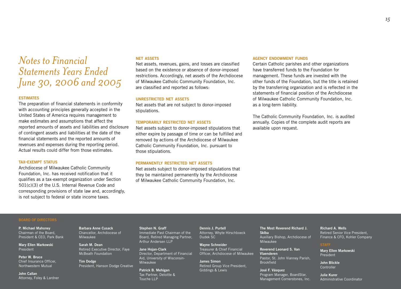## *Notes to Financial Statements Years Ended June 30, 2006 and 2005*

## **estimates**

The preparation of financial statements in conformity with accounting principles generally accepted in the United States of America requires management to make estimates and assumptions that affect the reported amounts of assets and liabilities and disclosure of contingent assets and liabilities at the date of the financial statements and the reported amounts of revenues and expenses during the reporting period. Actual results could differ from those estimates.

### **tax-exempt status**

Archdiocese of Milwaukee Catholic Community Foundation, Inc. has received notification that it qualifies as a tax-exempt organization under Section 501(c)(3) of the U.S. Internal Revenue Code and corresponding provisions of state law and, accordingly, is not subject to federal or state income taxes.

## **net assets**

Net assets, revenues, gains, and losses are classified based on the existence or absence of donor-imposed restrictions. Accordingly, net assets of the Archdiocese of Milwaukee Catholic Community Foundation, Inc. are classified and reported as follows:

### **unrestricted net assets**

Net assets that are not subject to donor-imposed stipulations.

### **temporarily restricted net assets**

Net assets subject to donor-imposed stipulations that either expire by passage of time or can be fulfilled and removed by actions of the Archdiocese of Milwaukee Catholic Community Foundation, Inc. pursuant to those stipulations.

### **permanently restricted net assets**

Net assets subject to donor-imposed stipulations that they be maintained permanently by the Archdiocese of Milwaukee Catholic Community Foundation, Inc.

### **agency endowment funds**

Certain Catholic parishes and other organizations have transferred funds to the Foundation for management. These funds are invested with the other funds of the Foundation, but the title is retained by the transferring organization and is reflected in the statements of financial position of the Archdiocese of Milwaukee Catholic Community Foundation, Inc. as a long-term liability.

The Catholic Community Foundation, Inc. is audited annually. Copies of the complete audit reports are available upon request.

**P. Michael Mahoney** Chairman of the Board, President & CEO, Park Bank

**Mary Ellen Markowski** President

**Peter W. Bruce** Chief Insurance Officer, Northwestern Mutual

**John Callan** Attorney, Foley & Lardner **Barbara Anne Cusack** Chancellor, Archdiocese of Milwaukee

**Sarah M. Dean** Retired Executive Director, Faye McBeath Foundation

**Tim Dodge** President, Hanson Dodge Creative **Stephen N. Graff** Immediate Past Chairman of the Board, Retired Managing Partner, Arthur Andersen LLP

**Jane Hojan-Clark** Director, Department of Financial Aid, University of Wisconsin-Milwaukee

**Patrick B. Mehigan** Tax Partner, Deloitte & Touche LLP

**Dennis J. Purtell** Attorney, Whyte Hirschboeck Dudek SC

**Wayne Schneider** Treasurer & Chief Financial Officer, Archdiocese of Milwaukee

**James Simon** Retired Group Vice President, Giddings & Lewis

## **The Most Reverend Richard J. Sklba**

Auxiliary Bishop, Archdiocese of Milwaukee

**Reverend Leonard S. Van Vlaenderen** Pastor, St. John Vianney Parish, Brookfield

**José F. Vásquez** Program Manager, BoardStar, Management Cornerstones, Inc. **Richard A. Wells** Retired Senior Vice President, Finance & CFO, Kohler Company

**Mary Ellen Markowski** President

**John Blickle Controller** 

**Julie Kurer** Administrative Coordinator